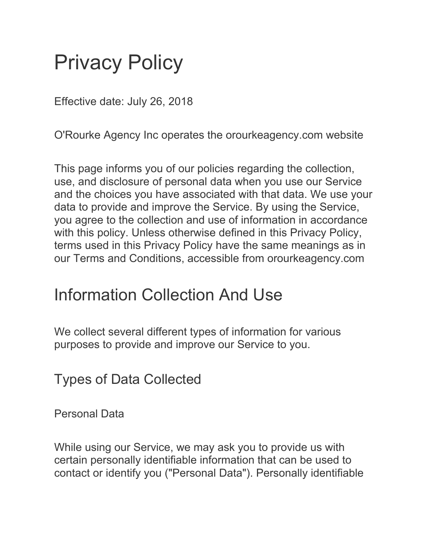# Privacy Policy

Effective date: July 26, 2018

O'Rourke Agency Inc operates the orourkeagency.com website

This page informs you of our policies regarding the collection, use, and disclosure of personal data when you use our Service and the choices you have associated with that data. We use your data to provide and improve the Service. By using the Service, you agree to the collection and use of information in accordance with this policy. Unless otherwise defined in this Privacy Policy, terms used in this Privacy Policy have the same meanings as in our Terms and Conditions, accessible from orourkeagency.com

#### Information Collection And Use

We collect several different types of information for various purposes to provide and improve our Service to you.

Types of Data Collected

Personal Data

While using our Service, we may ask you to provide us with certain personally identifiable information that can be used to contact or identify you ("Personal Data"). Personally identifiable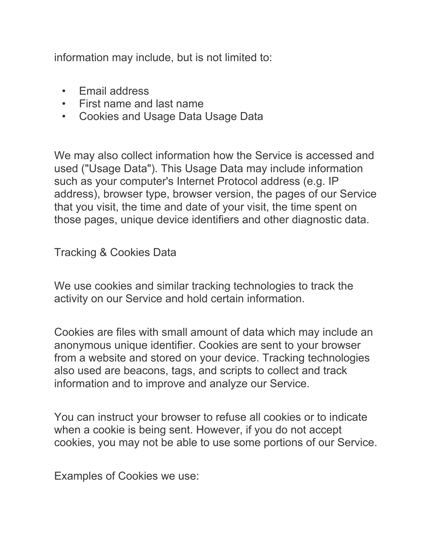information may include, but is not limited to:

- Email address
- First name and last name
- Cookies and Usage Data Usage Data

We may also collect information how the Service is accessed and used ("Usage Data"). This Usage Data may include information such as your computer's Internet Protocol address (e.g. IP address), browser type, browser version, the pages of our Service that you visit, the time and date of your visit, the time spent on those pages, unique device identifiers and other diagnostic data.

Tracking & Cookies Data

We use cookies and similar tracking technologies to track the activity on our Service and hold certain information.

Cookies are files with small amount of data which may include an anonymous unique identifier. Cookies are sent to your browser from a website and stored on your device. Tracking technologies also used are beacons, tags, and scripts to collect and track information and to improve and analyze our Service.

You can instruct your browser to refuse all cookies or to indicate when a cookie is being sent. However, if you do not accept cookies, you may not be able to use some portions of our Service.

Examples of Cookies we use: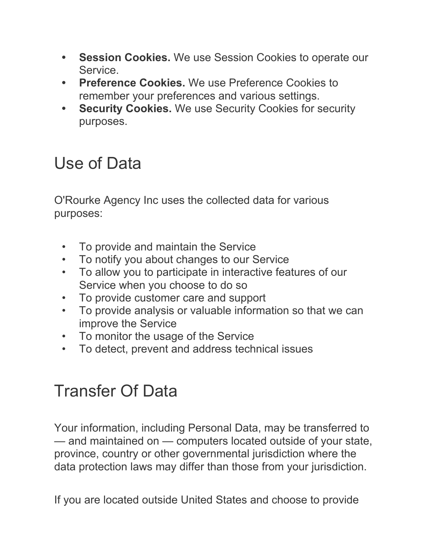- **• Session Cookies.** We use Session Cookies to operate our Service.
- **• Preference Cookies.** We use Preference Cookies to remember your preferences and various settings.
- **• Security Cookies.** We use Security Cookies for security purposes.

### Use of Data

O'Rourke Agency Inc uses the collected data for various purposes:

- To provide and maintain the Service
- To notify you about changes to our Service
- To allow you to participate in interactive features of our Service when you choose to do so
- To provide customer care and support
- To provide analysis or valuable information so that we can improve the Service
- To monitor the usage of the Service
- To detect, prevent and address technical issues

## Transfer Of Data

Your information, including Personal Data, may be transferred to — and maintained on — computers located outside of your state, province, country or other governmental jurisdiction where the data protection laws may differ than those from your jurisdiction.

If you are located outside United States and choose to provide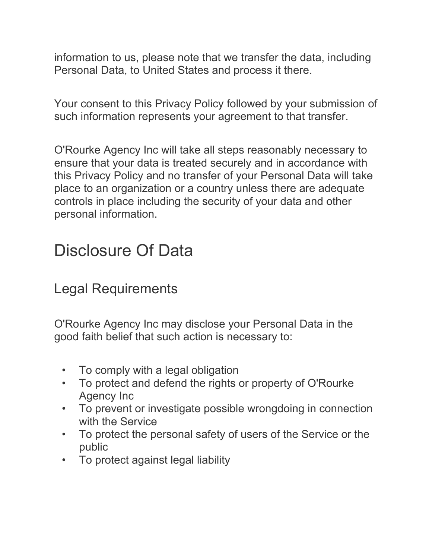information to us, please note that we transfer the data, including Personal Data, to United States and process it there.

Your consent to this Privacy Policy followed by your submission of such information represents your agreement to that transfer.

O'Rourke Agency Inc will take all steps reasonably necessary to ensure that your data is treated securely and in accordance with this Privacy Policy and no transfer of your Personal Data will take place to an organization or a country unless there are adequate controls in place including the security of your data and other personal information.

#### Disclosure Of Data

#### Legal Requirements

O'Rourke Agency Inc may disclose your Personal Data in the good faith belief that such action is necessary to:

- To comply with a legal obligation
- To protect and defend the rights or property of O'Rourke Agency Inc
- To prevent or investigate possible wrongdoing in connection with the Service
- To protect the personal safety of users of the Service or the public
- To protect against legal liability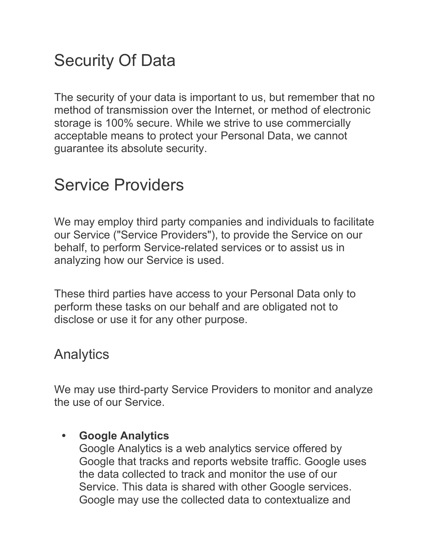### Security Of Data

The security of your data is important to us, but remember that no method of transmission over the Internet, or method of electronic storage is 100% secure. While we strive to use commercially acceptable means to protect your Personal Data, we cannot guarantee its absolute security.

#### Service Providers

We may employ third party companies and individuals to facilitate our Service ("Service Providers"), to provide the Service on our behalf, to perform Service-related services or to assist us in analyzing how our Service is used.

These third parties have access to your Personal Data only to perform these tasks on our behalf and are obligated not to disclose or use it for any other purpose.

#### **Analytics**

We may use third-party Service Providers to monitor and analyze the use of our Service.

#### **• Google Analytics**

Google Analytics is a web analytics service offered by Google that tracks and reports website traffic. Google uses the data collected to track and monitor the use of our Service. This data is shared with other Google services. Google may use the collected data to contextualize and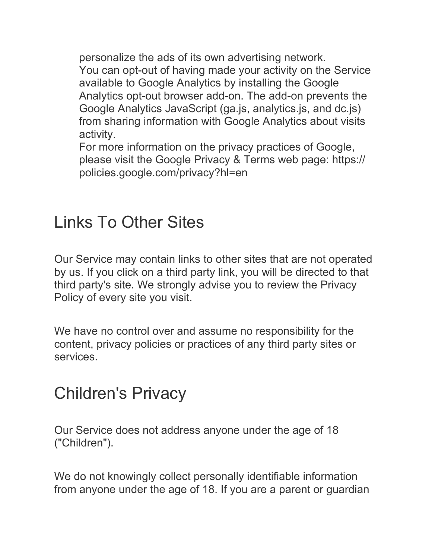personalize the ads of its own advertising network. You can opt-out of having made your activity on the Service available to Google Analytics by installing the Google Analytics opt-out browser add-on. The add-on prevents the Google Analytics JavaScript (ga.js, analytics.js, and dc.js) from sharing information with Google Analytics about visits activity.

For more information on the privacy practices of Google, please visit the Google Privacy & Terms web page: [https://](https://policies.google.com/privacy?hl=en) [policies.google.com/privacy?hl=en](https://policies.google.com/privacy?hl=en)

#### Links To Other Sites

Our Service may contain links to other sites that are not operated by us. If you click on a third party link, you will be directed to that third party's site. We strongly advise you to review the Privacy Policy of every site you visit.

We have no control over and assume no responsibility for the content, privacy policies or practices of any third party sites or services.

#### Children's Privacy

Our Service does not address anyone under the age of 18 ("Children").

We do not knowingly collect personally identifiable information from anyone under the age of 18. If you are a parent or guardian